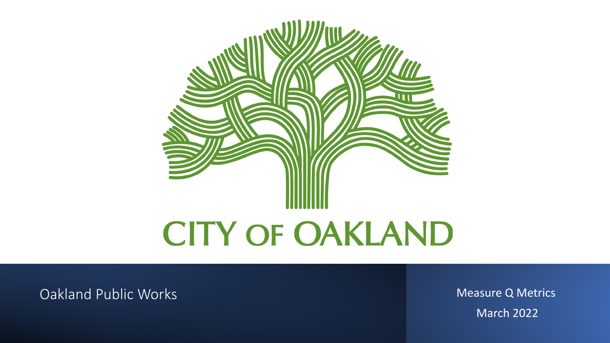

**Oakland Public Works** Measure Q Metrics

March 2022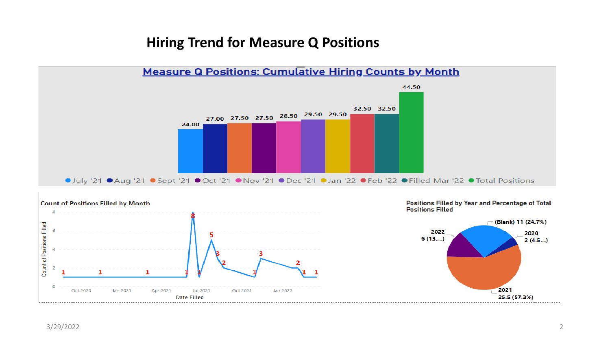# **Hiring Trend for Measure Q Positions**

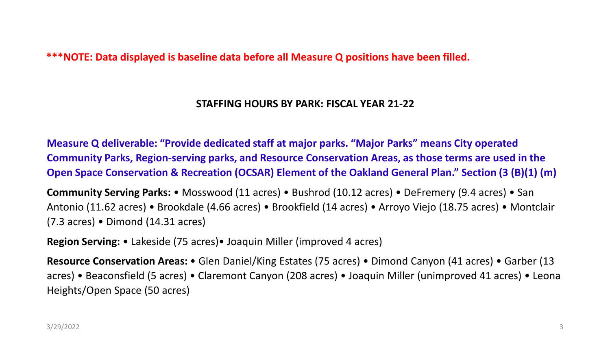**\*\*\*NOTE: Data displayed is baseline data before all Measure Q positions have been filled.** 

### **STAFFING HOURS BY PARK: FISCAL YEAR 21-22**

**Measure Q deliverable: "Provide dedicated staff at major parks. "Major Parks" means City operated Community Parks, Region-serving parks, and Resource Conservation Areas, as those terms are used in the Open Space Conservation & Recreation (OCSAR) Element of the Oakland General Plan." Section (3 (B)(1) (m)** 

**Community Serving Parks:** • Mosswood (11 acres) • Bushrod (10.12 acres) • DeFremery (9.4 acres) • San Antonio (11.62 acres) • Brookdale (4.66 acres) • Brookfield (14 acres) • Arroyo Viejo (18.75 acres) • Montclair (7.3 acres) • Dimond (14.31 acres)

**Region Serving:** • Lakeside (75 acres)• Joaquin Miller (improved 4 acres)

**Resource Conservation Areas:** • Glen Daniel/King Estates (75 acres) • Dimond Canyon (41 acres) • Garber (13 acres) • Beaconsfield (5 acres) • Claremont Canyon (208 acres) • Joaquin Miller (unimproved 41 acres) • Leona Heights/Open Space (50 acres)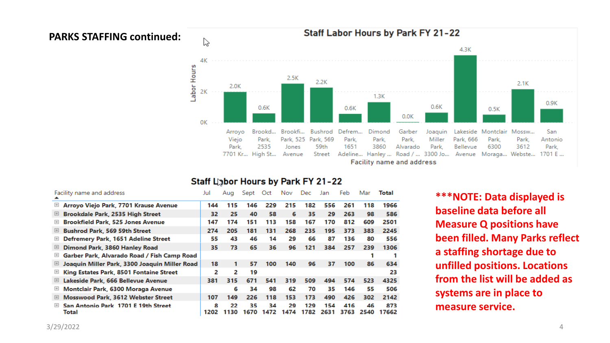#### **PARKS STAFFING continued:**



#### Staff Labor Hours by Park FY 21-22

| Facility name and address                                                                                                         |                                               | Jul       | Aug        | Sept       | Oct        | Nov        | Dec.        | Jan         | Feb         | Mar        | Total        |
|-----------------------------------------------------------------------------------------------------------------------------------|-----------------------------------------------|-----------|------------|------------|------------|------------|-------------|-------------|-------------|------------|--------------|
| $\begin{array}{c} \begin{array}{c} \begin{array}{c} \end{array} \end{array} \end{array}$                                          | Arroyo Viejo Park, 7701 Krause Avenue         | 144       | 115        | 146        | 229        | 215        | 182         | 556         | 261         | 118        | 1966         |
| 田                                                                                                                                 | Brookdale Park, 2535 High Street              | 32        | 25         | 40         | 58         | 6          | 35          | 29          | 263         | 98         | 586          |
| ⊞                                                                                                                                 | <b>Brookfield Park, 525 Jones Avenue</b>      | 147       | 174        | 151        | 113        | 158        | 167         | 170         | 812         | 609        | 2501         |
| 国                                                                                                                                 | <b>Bushrod Park, 569 59th Street</b>          | 274       | 205        | 181        | 131        | 268        | 235         | 195         | 373         | 383        | 2245         |
| ⊞                                                                                                                                 | Defremery Park, 1651 Adeline Street           | 55        | 43         | 46         | 14         | 29         | 66          | 87          | 136         | 80         | 556          |
| 囲                                                                                                                                 | Dimond Park, 3860 Hanley Road                 | 35.       | 73         | 65         | 36         | 96         | 121         | 384         | 257         | 239        | 1306         |
| $\begin{array}{c} \begin{array}{c} \begin{array}{c} \begin{array}{c} \end{array} \end{array} \end{array} \end{array} \end{array}$ | Garber Park, Alvarado Road / Fish Camp Road   |           |            |            |            |            |             |             |             |            |              |
| 田                                                                                                                                 | Joaquin Miller Park, 3300 Joaquin Miller Road | 18        | 1          | 57         | 100        | 140        | 96          | 37          | 100         | 86         | 634          |
| $\boxplus$                                                                                                                        | King Estates Park, 8501 Fontaine Street       | 2         | 2          | 19         |            |            |             |             |             |            | 23           |
| ⊞                                                                                                                                 | Lakeside Park, 666 Bellevue Avenue            | 381       | 315        | 671        | 541        | 319        | 509         | 494         | 574         | 523        | 4325         |
| 田                                                                                                                                 | Montclair Park, 6300 Moraga Avenue            |           | 6          | 34         | 98         | 62         | 70          | 35          | 146         | 55         | 506          |
| ⊞                                                                                                                                 | Mosswood Park, 3612 Webster Street            | 107       | 149        | 226        | 118        | 153        | 173         | 490         | 426         | 302        | 2142         |
| $\boxplus$                                                                                                                        | San Antonio Park 1701 E 19th Street<br>Total  | 8<br>1202 | 22<br>1130 | 35<br>1670 | 34<br>1472 | 29<br>1474 | 129<br>1782 | 154<br>2631 | 416<br>3763 | 46<br>2540 | 873<br>17662 |

**\*\*\*NOTE: Data displayed is baseline data before all Measure Q positions have been filled. Many Parks reflect a staffing shortage due to unfilled positions. Locations from the list will be added as systems are in place to measure service.**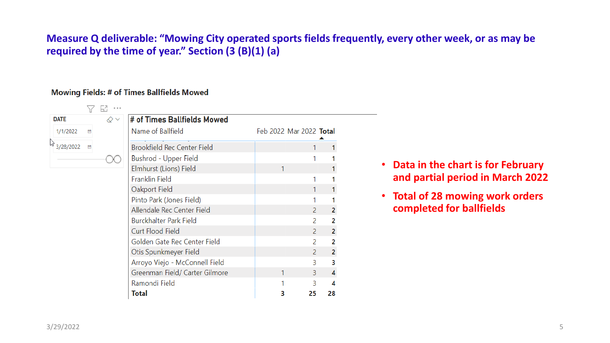## **Measure Q deliverable: "Mowing City operated sports fields frequently, every other week, or as may be required by the time of year." Section (3 (B)(1) (a)**

#### **Mowing Fields: # of Times Ballfields Mowed**

| <b>DATE</b> | $\oslash \, \vee$ | # of Times Ballfields Mowed        |                         |                |
|-------------|-------------------|------------------------------------|-------------------------|----------------|
| 1/1/2022    |                   | Name of Ballfield                  | Feb 2022 Mar 2022 Total |                |
| 3/28/2022   |                   | <b>Brookfield Rec Center Field</b> |                         |                |
|             |                   | Bushrod - Upper Field              |                         |                |
|             |                   | Elmhurst (Lions) Field             |                         |                |
|             |                   | <b>Franklin Field</b>              |                         |                |
|             |                   | Oakport Field                      |                         |                |
|             |                   | Pinto Park (Jones Field)           |                         |                |
|             |                   | Allendale Rec Center Field         | 2                       | 2              |
|             |                   | <b>Burckhalter Park Field</b>      | 2                       | 2              |
|             |                   | <b>Curt Flood Field</b>            | 2                       | $\overline{2}$ |
|             |                   | Golden Gate Rec Center Field       | 2                       | 2              |
|             |                   | Otis Spunkmeyer Field              | $\mathcal{P}$           | $\overline{2}$ |
|             |                   | Arroyo Viejo - McConnell Field     | 3.                      | з              |
|             |                   | Greenman Field/ Carter Gilmore     | 3.                      |                |
|             |                   | Ramondi Field                      | 3                       | Δ              |
|             |                   | Total                              | 25                      | 28             |

- **Data in the chart is for February and partial period in March 2022**
- **Total of 28 mowing work orders completed for ballfields**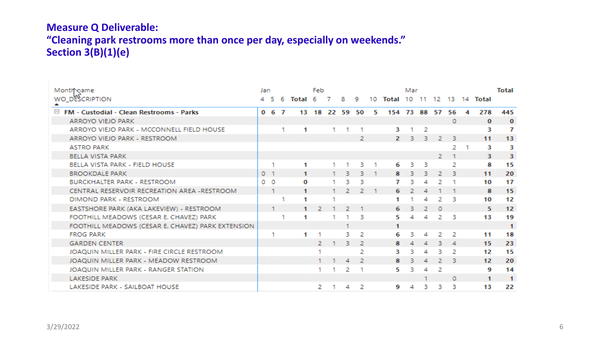# **Measure Q Deliverable: "Cleaning park restrooms more than once per day, especially on weekends." Section 3(B)(1)(e)**

| Month name                                        |                | Jan       |   |          | Feb            |    |    | Mar           |    |                |     |    |          |          |    | <b>Total</b>         |                      |
|---------------------------------------------------|----------------|-----------|---|----------|----------------|----|----|---------------|----|----------------|-----|----|----------|----------|----|----------------------|----------------------|
| WO_DESCRIPTION<br>▴                               |                | -5.       | 6 | Total 6  |                |    | 8. | -9            | 10 | Total          | 10  |    | 12       | 13.      | 14 | Total                |                      |
| □ FM - Custodial - Clean Restrooms - Parks        |                | $0\t6\t7$ |   |          | 13 18 22 59 50 |    |    |               | 5. | 154 73 88 57   |     |    |          | 56       | 4  | 278                  | 445                  |
| <b>ARROYO VIEJO PARK</b>                          |                |           |   |          |                |    |    |               |    |                |     |    |          | $\Omega$ |    | $\mathbf{O}$         | $\mathbf{0}$         |
| ARROYO VIEJO PARK - MCCONNELL FIELD HOUSE         |                |           |   | 1        |                |    |    |               |    | з              |     | 2  |          |          |    | з                    | 7                    |
| ARROYO VIEJO PARK - RESTROOM                      |                |           |   |          |                |    |    | 2             |    | $\overline{2}$ | -31 | з. | 2        | в        |    | 11                   | 13                   |
| <b>ASTRO PARK</b>                                 |                |           |   |          |                |    |    |               |    |                |     |    |          | 2        |    | з                    | з                    |
| <b>BELLA VISTA PARK</b>                           |                |           |   |          |                |    |    |               |    |                |     |    | 2.       |          |    | 3.                   | з.                   |
| BELLA VISTA PARK - FIELD HOUSE                    |                |           |   | 1        |                |    |    | в             |    | 6              | в.  | з  |          | 2        |    | 8                    | 15                   |
| <b>BROOKDALE PARK</b>                             | 0 <sub>1</sub> |           |   | 1        |                |    | з  | в             |    | 8              |     | в. | 2        | в        |    | 11                   | 20                   |
| <b>BURCKHALTER PARK - RESTROOM</b>                | 0 <sub>0</sub> |           |   | $\Omega$ |                |    |    |               |    |                |     |    |          |          |    | 10                   | 17                   |
| CENTRAL RESERVOIR RECREATION AREA -RESTROOM       |                |           |   | 1        |                |    | 2. | 2.            |    | 6              |     |    |          |          |    | 8                    | 15                   |
| DIMOND PARK - RESTROOM                            |                |           |   | 1        |                |    |    |               |    |                |     |    |          | з        |    | 10                   | 12                   |
| EASTSHORE PARK (AKA LAKEVIEW) - RESTROOM          |                |           |   |          | 2              |    |    |               |    | 6              |     | 2  | $\Omega$ |          |    | 5                    | 12                   |
| FOOTHILL MEADOWS (CESAR E. CHAVEZ) PARK           |                |           |   | 1        |                |    |    | в             |    | 5              | 4   | 4  | 2.       | -3       |    | 13                   | 19                   |
| FOOTHILL MEADOWS (CESAR E. CHAVEZ) PARK EXTENSION |                |           |   |          |                |    |    |               |    | 1              |     |    |          |          |    |                      | -1                   |
| <b>FROG PARK</b>                                  |                | 1         |   | 1        |                |    | в  | 2             |    | 6              |     | 4  | 2        | 2        |    | 11                   | 18                   |
| <b>GARDEN CENTER</b>                              |                |           |   |          | 2.             |    | з  | 2             |    | 8              |     |    |          | 4        |    | 15                   | 23                   |
| JOAOUIN MILLER PARK - FIRE CIRCLE RESTROOM        |                |           |   |          |                |    |    | 2             |    | з              |     | 4  | в.       | 2        |    | 12                   | 15                   |
| JOAOUIN MILLER PARK - MEADOW RESTROOM             |                |           |   |          |                |    | 4  | $\mathcal{P}$ |    | 8              |     | 4  |          | -3       |    | 12 <sup>2</sup>      | 20                   |
| JOAQUIN MILLER PARK - RANGER STATION              |                |           |   |          |                |    | 2  |               |    | 5              | в   | 4  |          |          |    | 9                    | 14                   |
| <b>LAKESIDE PARK</b>                              |                |           |   |          |                |    |    |               |    |                |     |    |          | 0        |    | $\blacktriangleleft$ | $\blacktriangleleft$ |
| LAKESIDE PARK - SAILBOAT HOUSE                    |                |           |   |          | 2              | 1. | 4  | -2            |    | 9              | 4   | з  | з        | з        |    | 13                   | 22                   |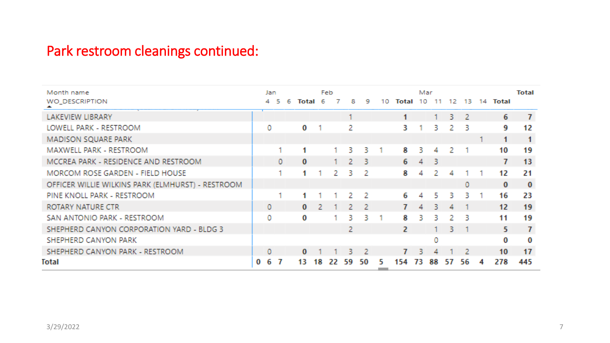# Park restroom cleanings continued:

| Month name                                        |    | Jan |     |   |       |     | Feb |     |     |    |          | Mar            |     |    |     |    |                  | Total          |
|---------------------------------------------------|----|-----|-----|---|-------|-----|-----|-----|-----|----|----------|----------------|-----|----|-----|----|------------------|----------------|
| WO_DESCRIPTION                                    |    |     | 5   | 6 | Total | 6   |     | 8   | 9   | 10 | Total 10 |                | 11  | 12 | 13. | 14 | Total            |                |
| LAKEVIEW LIBRARY                                  |    |     |     |   |       |     |     |     |     |    | 1        |                |     | 3. | -2. |    | 6                | $\overline{I}$ |
| LOWELL PARK - RESTROOM                            |    | o   |     |   | O     |     |     | 2   |     |    | З.       |                | В.  | 2  | 3   |    | 9                | 12             |
| MADISON SQUARE PARK                               |    |     |     |   |       |     |     |     |     |    |          |                |     |    |     |    | 1                | 1              |
| <b>MAXWELL PARK - RESTROOM</b>                    |    |     |     |   |       |     |     | В.  | в.  |    | 8.       | З.             | 4   | 2  |     |    | 10               | 19             |
| MCCREA PARK - RESIDENCE AND RESTROOM              |    |     | Ω.  |   | 0.    |     | 1.  | 2.  | -3  |    | 6.       | $\overline{4}$ | -3  |    |     |    | 7                | 13             |
| MORCOM ROSE GARDEN - FIELD HOUSE                  |    |     |     |   |       |     | 2.  | В.  | - 2 |    | 81       | 4              |     | А  |     |    | 12               | 21             |
| OFFICER WILLIE WILKINS PARK (ELMHURST) - RESTROOM |    |     |     |   |       |     |     |     |     |    |          |                |     |    | O.  |    | $\bf{0}$         | $\bf{0}$       |
| PINE KNOLL PARK - RESTROOM                        |    |     |     |   |       |     |     | 2.  | - 2 |    | 6.       | 4              | 5.  | В. | 3.  |    | 16               | 23             |
| ROTARY NATURE CTR                                 |    | 0.  |     |   | 0.    | -21 |     | 2.  | - 2 |    |          | 4              | В.  | 4  |     |    | 12 <sub>12</sub> | 19             |
| SAN ANTONIO PARK - RESTROOM                       |    | 0.  |     |   | o     |     |     | В.  | в.  |    | 8        | В.             | В.  | 2  | 3   |    | 11               | 19             |
| SHEPHERD CANYON CORPORATION YARD - BLDG 3         |    |     |     |   |       |     |     | 2.  |     |    | 2.       |                |     | В. |     |    | 5.               | $\mathcal{T}$  |
| SHEPHERD CANYON PARK                              |    |     |     |   |       |     |     |     |     |    |          |                | 0   |    |     |    | 0                | o              |
| SHEPHERD CANYON PARK - RESTROOM                   |    | 0   |     |   | 0.    |     |     | В.  | - 2 |    | 7.       | В.             | 4   |    | 2   |    | 10 <sup>1</sup>  | 17             |
| Total                                             | 0. | 6   | - 7 |   | 13.   | 18. | 22. | 59. | -50 | 51 | 154      | 73.            | 88. | 57 | 56  | 4  | 278              | 445            |